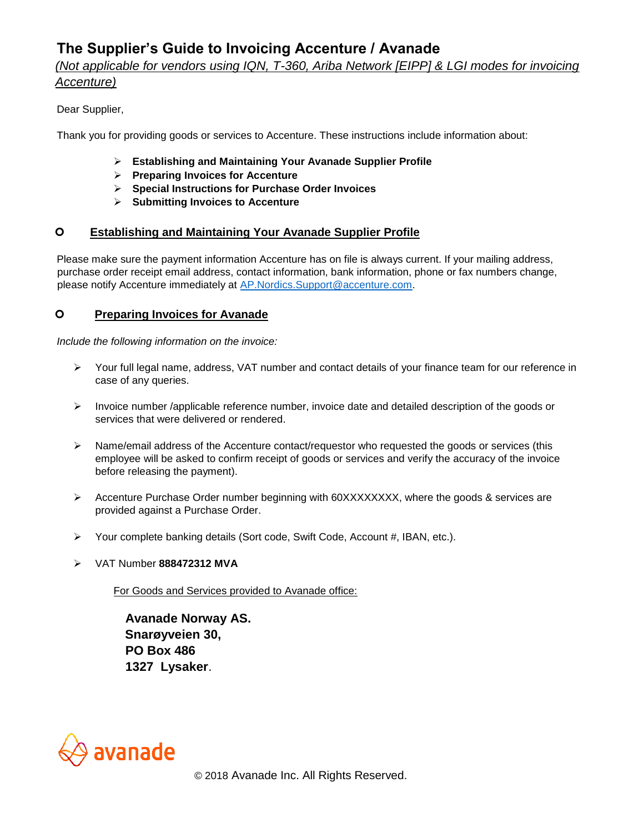# **The Supplier's Guide to Invoicing Accenture / Avanade**

# *(Not applicable for vendors using IQN, T-360, Ariba Network [EIPP] & LGI modes for invoicing Accenture)*

## Dear Supplier,

Thank you for providing goods or services to Accenture. These instructions include information about:

- ➢ **Establishing and Maintaining Your Avanade Supplier Profile**
- ➢ **Preparing Invoices for Accenture**
- ➢ **Special Instructions for Purchase Order Invoices**
- ➢ **Submitting Invoices to Accenture**

#### **Establishing and Maintaining Your Avanade Supplier Profile**

Please make sure the payment information Accenture has on file is always current. If your mailing address, purchase order receipt email address, contact information, bank information, phone or fax numbers change, please notify Accenture immediately at AP.Nordics.Support@accenture.com.

#### **Preparing Invoices for Avanade**

*Include the following information on the invoice:*

- ➢ Your full legal name, address, VAT number and contact details of your finance team for our reference in case of any queries.
- $\triangleright$  Invoice number /applicable reference number, invoice date and detailed description of the goods or services that were delivered or rendered.
- ➢ Name/email address of the Accenture contact/requestor who requested the goods or services (this employee will be asked to confirm receipt of goods or services and verify the accuracy of the invoice before releasing the payment).
- ➢ Accenture Purchase Order number beginning with 60XXXXXXXX, where the goods & services are provided against a Purchase Order.
- ➢ Your complete banking details (Sort code, Swift Code, Account #, IBAN, etc.).
- ➢ VAT Number **888472312 MVA**

For Goods and Services provided to Avanade office:

 **Avanade Norway AS. Snarøyveien 30, PO Box 486 1327 Lysaker**.

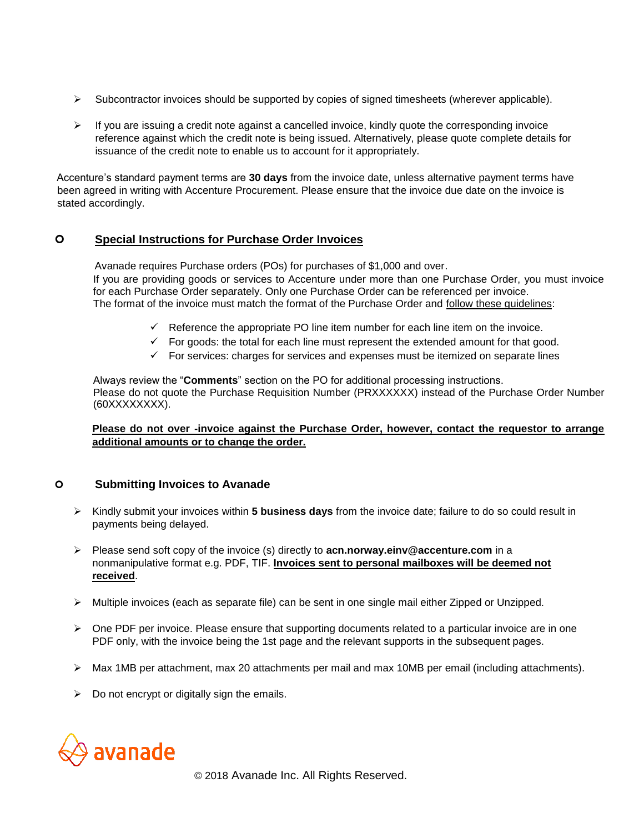- $\triangleright$  Subcontractor invoices should be supported by copies of signed timesheets (wherever applicable).
- $\triangleright$  If you are issuing a credit note against a cancelled invoice, kindly quote the corresponding invoice reference against which the credit note is being issued. Alternatively, please quote complete details for issuance of the credit note to enable us to account for it appropriately.

Accenture's standard payment terms are **30 days** from the invoice date, unless alternative payment terms have been agreed in writing with Accenture Procurement. Please ensure that the invoice due date on the invoice is stated accordingly.

## **Special Instructions for Purchase Order Invoices**

 Avanade requires Purchase orders (POs) for purchases of \$1,000 and over. If you are providing goods or services to Accenture under more than one Purchase Order, you must invoice for each Purchase Order separately. Only one Purchase Order can be referenced per invoice. The format of the invoice must match the format of the Purchase Order and follow these guidelines:

- $\checkmark$  Reference the appropriate PO line item number for each line item on the invoice.
- $\checkmark$  For goods: the total for each line must represent the extended amount for that good.
- $\checkmark$  For services: charges for services and expenses must be itemized on separate lines

Always review the "**Comments**" section on the PO for additional processing instructions. Please do not quote the Purchase Requisition Number (PRXXXXXX) instead of the Purchase Order Number (60XXXXXXXX).

#### **Please do not over -invoice against the Purchase Order, however, contact the requestor to arrange additional amounts or to change the order.**

#### **Submitting Invoices to Avanade**

- ➢ Kindly submit your invoices within **5 business days** from the invoice date; failure to do so could result in payments being delayed.
- ➢ Please send soft copy of the invoice (s) directly to **acn.norway.einv@accenture.com** in a nonmanipulative format e.g. PDF, TIF. **Invoices sent to personal mailboxes will be deemed not received**.
- ➢ Multiple invoices (each as separate file) can be sent in one single mail either Zipped or Unzipped.
- $\triangleright$  One PDF per invoice. Please ensure that supporting documents related to a particular invoice are in one PDF only, with the invoice being the 1st page and the relevant supports in the subsequent pages.
- ➢ Max 1MB per attachment, max 20 attachments per mail and max 10MB per email (including attachments).
- $\triangleright$  Do not encrypt or digitally sign the emails.



© 2018 Avanade Inc. All Rights Reserved.